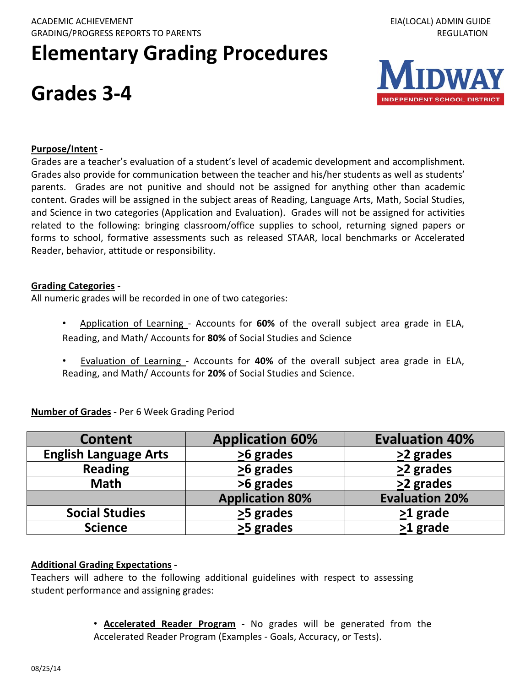# **Elementary Grading Procedures**

## **Grades 3-4**



#### **Purpose/Intent** -

Grades are a teacher's evaluation of a student's level of academic development and accomplishment. Grades also provide for communication between the teacher and his/her students as well as students' parents. Grades are not punitive and should not be assigned for anything other than academic content. Grades will be assigned in the subject areas of Reading, Language Arts, Math, Social Studies, and Science in two categories (Application and Evaluation). Grades will not be assigned for activities related to the following: bringing classroom/office supplies to school, returning signed papers or forms to school, formative assessments such as released STAAR, local benchmarks or Accelerated Reader, behavior, attitude or responsibility.

#### **Grading Categories -**

All numeric grades will be recorded in one of two categories:

- Application of Learning Accounts for **60%** of the overall subject area grade in ELA, Reading, and Math/ Accounts for **80%** of Social Studies and Science
- Evaluation of Learning Accounts for **40%** of the overall subject area grade in ELA, Reading, and Math/ Accounts for **20%** of Social Studies and Science.

| <b>Content</b>               | <b>Application 60%</b> | <b>Evaluation 40%</b> |
|------------------------------|------------------------|-----------------------|
| <b>English Language Arts</b> | $\geq$ 6 grades        | $\geq$ 2 grades       |
| <b>Reading</b>               | $\geq$ 6 grades        | $\geq$ 2 grades       |
| <b>Math</b>                  | >6 grades              | >2 grades             |
|                              | <b>Application 80%</b> | <b>Evaluation 20%</b> |
| <b>Social Studies</b>        | >5 grades              | >1 grade              |
| <b>Science</b>               | >5 grades              | $\geq 1$ grade        |

**Number of Grades -** Per 6 Week Grading Period

### **Additional Grading Expectations -**

Teachers will adhere to the following additional guidelines with respect to assessing student performance and assigning grades:

> • **Accelerated Reader Program -** No grades will be generated from the Accelerated Reader Program (Examples - Goals, Accuracy, or Tests).